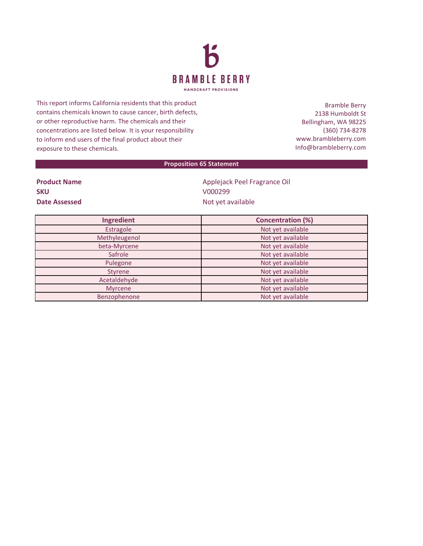

This report informs California residents that this product contains chemicals known to cause cancer, birth defects, or other reproductive harm. The chemicals and their concentrations are listed below. It is your responsibility to inform end users of the final product about their exposure to these chemicals.

Bramble Berry 2138 Humboldt St Bellingham, WA 98225 (360) 734-8278 www.brambleberry.com Info@brambleberry.com

## **Proposition 65 Statement**

| <b>Product Name</b> |
|---------------------|
| <b>SKU</b>          |
| Date Assessed       |

**Product Name** Applejack Peel Fragrance Oil **SKU** V000299 **Date Assessed** Not yet available

| Ingredient     | <b>Concentration (%)</b> |
|----------------|--------------------------|
| Estragole      | Not yet available        |
| Methyleugenol  | Not yet available        |
| beta-Myrcene   | Not yet available        |
| Safrole        | Not yet available        |
| Pulegone       | Not yet available        |
| Styrene        | Not yet available        |
| Acetaldehyde   | Not yet available        |
| <b>Myrcene</b> | Not yet available        |
| Benzophenone   | Not yet available        |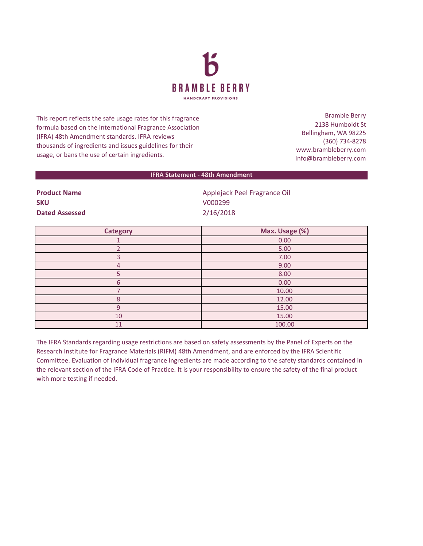

This report reflects the safe usage rates for this fragrance formula based on the International Fragrance Association (IFRA) 48th Amendment standards. IFRA reviews thousands of ingredients and issues guidelines for their usage, or bans the use of certain ingredients.

Bramble Berry 2138 Humboldt St Bellingham, WA 98225 (360) 734-8278 www.brambleberry.com Info@brambleberry.com

## **IFRA Statement - 48th Amendment**

**SKU** V000299 **Dated Assessed** 2/16/2018

**Product Name Applejack Peel Fragrance Oil Applejack Peel Fragrance Oil** 

| <b>Category</b> | Max. Usage (%) |
|-----------------|----------------|
|                 | 0.00           |
|                 | 5.00           |
|                 | 7.00           |
| $\overline{4}$  | 9.00           |
|                 | 8.00           |
| 6               | 0.00           |
|                 | 10.00          |
| 8               | 12.00          |
| 9               | 15.00          |
| 10              | 15.00          |
| 11              | 100.00         |

The IFRA Standards regarding usage restrictions are based on safety assessments by the Panel of Experts on the Research Institute for Fragrance Materials (RIFM) 48th Amendment, and are enforced by the IFRA Scientific Committee. Evaluation of individual fragrance ingredients are made according to the safety standards contained in the relevant section of the IFRA Code of Practice. It is your responsibility to ensure the safety of the final product with more testing if needed.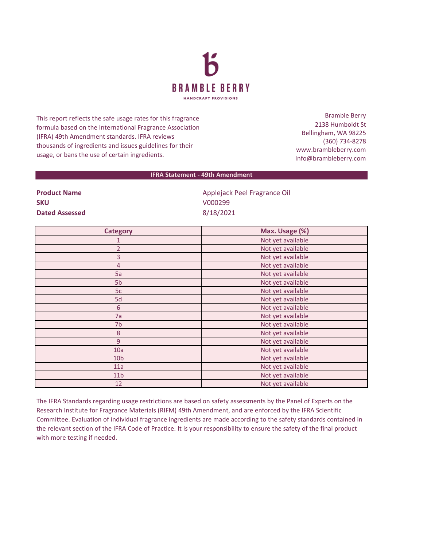

This report reflects the safe usage rates for this fragrance formula based on the International Fragrance Association (IFRA) 49th Amendment standards. IFRA reviews thousands of ingredients and issues guidelines for their usage, or bans the use of certain ingredients.

Bramble Berry 2138 Humboldt St Bellingham, WA 98225 (360) 734-8278 www.brambleberry.com Info@brambleberry.com

## **IFRA Statement - 49th Amendment**

**SKU** V000299 **Dated Assessed** 8/18/2021

**Product Name Applejack Peel Fragrance Oil** 

| <b>Category</b>  | Max. Usage (%)    |
|------------------|-------------------|
|                  | Not yet available |
| $\overline{2}$   | Not yet available |
| 3                | Not yet available |
| 4                | Not yet available |
| 5a               | Not yet available |
| 5 <sub>b</sub>   | Not yet available |
| 5c               | Not yet available |
| 5d               | Not yet available |
| 6                | Not yet available |
| 7a               | Not yet available |
| 7b               | Not yet available |
| $\boldsymbol{8}$ | Not yet available |
| 9                | Not yet available |
| 10a              | Not yet available |
| 10 <sub>b</sub>  | Not yet available |
| 11a              | Not yet available |
| 11 <sub>b</sub>  | Not yet available |
| 12               | Not yet available |

The IFRA Standards regarding usage restrictions are based on safety assessments by the Panel of Experts on the Research Institute for Fragrance Materials (RIFM) 49th Amendment, and are enforced by the IFRA Scientific Committee. Evaluation of individual fragrance ingredients are made according to the safety standards contained in the relevant section of the IFRA Code of Practice. It is your responsibility to ensure the safety of the final product with more testing if needed.